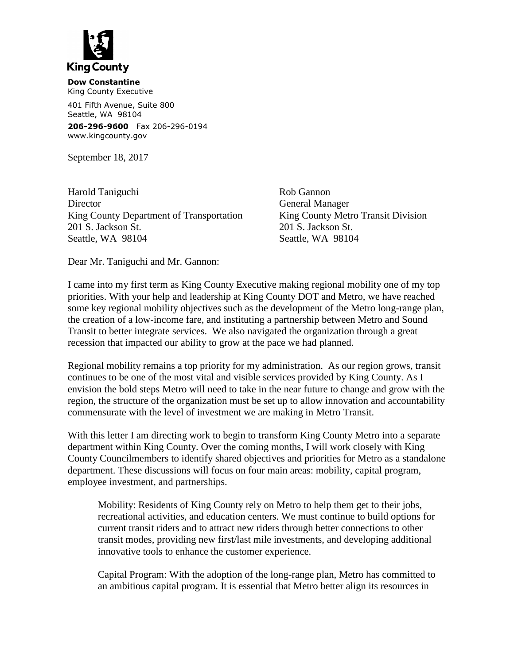

**Dow Constantine** King County Executive

401 Fifth Avenue, Suite 800 Seattle, WA 98104

**206-296-9600** Fax 206-296-0194 www.kingcounty.gov

September 18, 2017

Harold Taniguchi Rob Gannon Director General Manager King County Department of Transportation King County Metro Transit Division 201 S. Jackson St. 201 S. Jackson St. Seattle, WA 98104 Seattle, WA 98104

Dear Mr. Taniguchi and Mr. Gannon:

I came into my first term as King County Executive making regional mobility one of my top priorities. With your help and leadership at King County DOT and Metro, we have reached some key regional mobility objectives such as the development of the Metro long-range plan, the creation of a low-income fare, and instituting a partnership between Metro and Sound Transit to better integrate services. We also navigated the organization through a great recession that impacted our ability to grow at the pace we had planned.

Regional mobility remains a top priority for my administration. As our region grows, transit continues to be one of the most vital and visible services provided by King County. As I envision the bold steps Metro will need to take in the near future to change and grow with the region, the structure of the organization must be set up to allow innovation and accountability commensurate with the level of investment we are making in Metro Transit.

With this letter I am directing work to begin to transform King County Metro into a separate department within King County. Over the coming months, I will work closely with King County Councilmembers to identify shared objectives and priorities for Metro as a standalone department. These discussions will focus on four main areas: mobility, capital program, employee investment, and partnerships.

Mobility: Residents of King County rely on Metro to help them get to their jobs, recreational activities, and education centers. We must continue to build options for current transit riders and to attract new riders through better connections to other transit modes, providing new first/last mile investments, and developing additional innovative tools to enhance the customer experience.

Capital Program: With the adoption of the long-range plan, Metro has committed to an ambitious capital program. It is essential that Metro better align its resources in